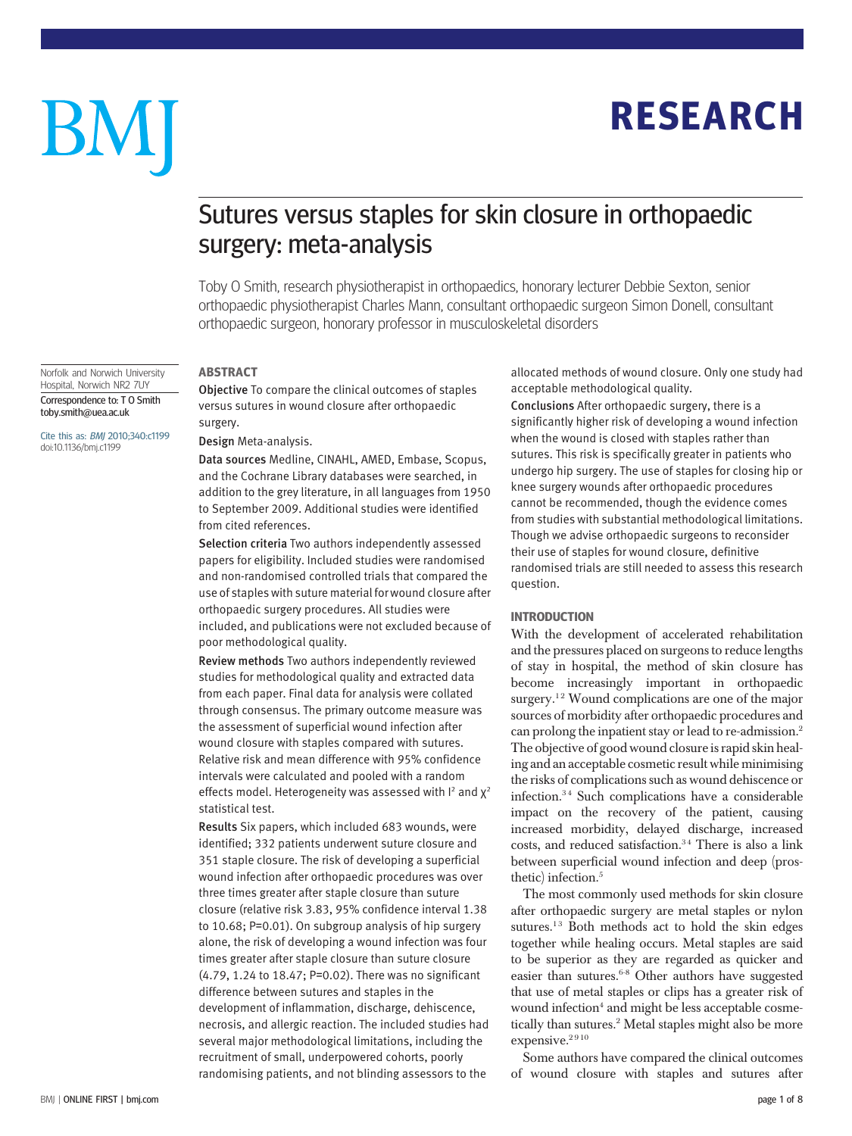# **RESEARCH** RESEARCH

# BM

# Sutures versus staples for skin closure in orthopaedic surgery: meta-analysis

Toby O Smith, research physiotherapist in orthopaedics, honorary lecturer Debbie Sexton, senior orthopaedic physiotherapist Charles Mann, consultant orthopaedic surgeon Simon Donell, consultant orthopaedic surgeon, honorary professor in musculoskeletal disorders

Norfolk and Norwich University Hospital, Norwich NR2 7UY Correspondence to: T O Smith toby.smith@uea.ac.uk

Cite this as: BMJ 2010;340:c1199 doi:10.1136/bmj.c1199

## **ABSTRACT**

-----------<br>Objective To compare the clinical outcomes of staples versus sutures in wound closure after orthopaedic surgery.

#### Design Meta-analysis.

Data sources Medline, CINAHL, AMED, Embase, Scopus, and the Cochrane Library databases were searched, in addition to the grey literature, in all languages from 1950 to September 2009. Additional studies were identified from cited references.

Selection criteria Two authors independently assessed papers for eligibility. Included studies were randomised and non-randomised controlled trials that compared the use of staples with suture material for wound closure after orthopaedic surgery procedures. All studies were included, and publications were not excluded because of poor methodological quality.

Review methods Two authors independently reviewed studies for methodological quality and extracted data from each paper. Final data for analysis were collated through consensus. The primary outcome measure was the assessment of superficial wound infection after wound closure with staples compared with sutures. Relative risk and mean difference with 95% confidence intervals were calculated and pooled with a random effects model. Heterogeneity was assessed with I<sup>2</sup> and  $\chi^2$ statistical test.

Results Six papers, which included 683 wounds, were identified; 332 patients underwent suture closure and 351 staple closure. The risk of developing a superficial wound infection after orthopaedic procedures was over three times greater after staple closure than suture closure (relative risk 3.83, 95% confidence interval 1.38 to 10.68; P=0.01). On subgroup analysis of hip surgery alone, the risk of developing a wound infection was four times greater after staple closure than suture closure (4.79, 1.24 to 18.47; P=0.02). There was no significant difference between sutures and staples in the development of inflammation, discharge, dehiscence, necrosis, and allergic reaction. The included studies had several major methodological limitations, including the recruitment of small, underpowered cohorts, poorly randomising patients, and not blinding assessors to the

allocated methods of wound closure. Only one study had acceptable methodological quality.

Conclusions After orthopaedic surgery, there is a significantly higher risk of developing a wound infection when the wound is closed with staples rather than sutures. This risk is specifically greater in patients who undergo hip surgery. The use of staples for closing hip or knee surgery wounds after orthopaedic procedures cannot be recommended, though the evidence comes from studies with substantial methodological limitations. Though we advise orthopaedic surgeons to reconsider their use of staples for wound closure, definitive randomised trials are still needed to assess this research question.

## **INTRODUCTION**

With the development of accelerated rehabilitation and the pressures placed on surgeons to reduce lengths of stay in hospital, the method of skin closure has become increasingly important in orthopaedic surgery.<sup>12</sup> Wound complications are one of the major sources of morbidity after orthopaedic procedures and can prolong the inpatient stay or lead to re-admission.2 The objective of good wound closure is rapid skin healing and an acceptable cosmetic result while minimising the risks of complications such as wound dehiscence or infection.<sup>34</sup> Such complications have a considerable impact on the recovery of the patient, causing increased morbidity, delayed discharge, increased costs, and reduced satisfaction.<sup>34</sup> There is also a link between superficial wound infection and deep (prosthetic) infection.<sup>5</sup>

The most commonly used methods for skin closure after orthopaedic surgery are metal staples or nylon sutures.<sup>13</sup> Both methods act to hold the skin edges together while healing occurs. Metal staples are said to be superior as they are regarded as quicker and easier than sutures. $6-8$  Other authors have suggested that use of metal staples or clips has a greater risk of wound infection<sup>4</sup> and might be less acceptable cosmetically than sutures.<sup>2</sup> Metal staples might also be more  $exposure.<sup>2910</sup>$ 

Some authors have compared the clinical outcomes of wound closure with staples and sutures after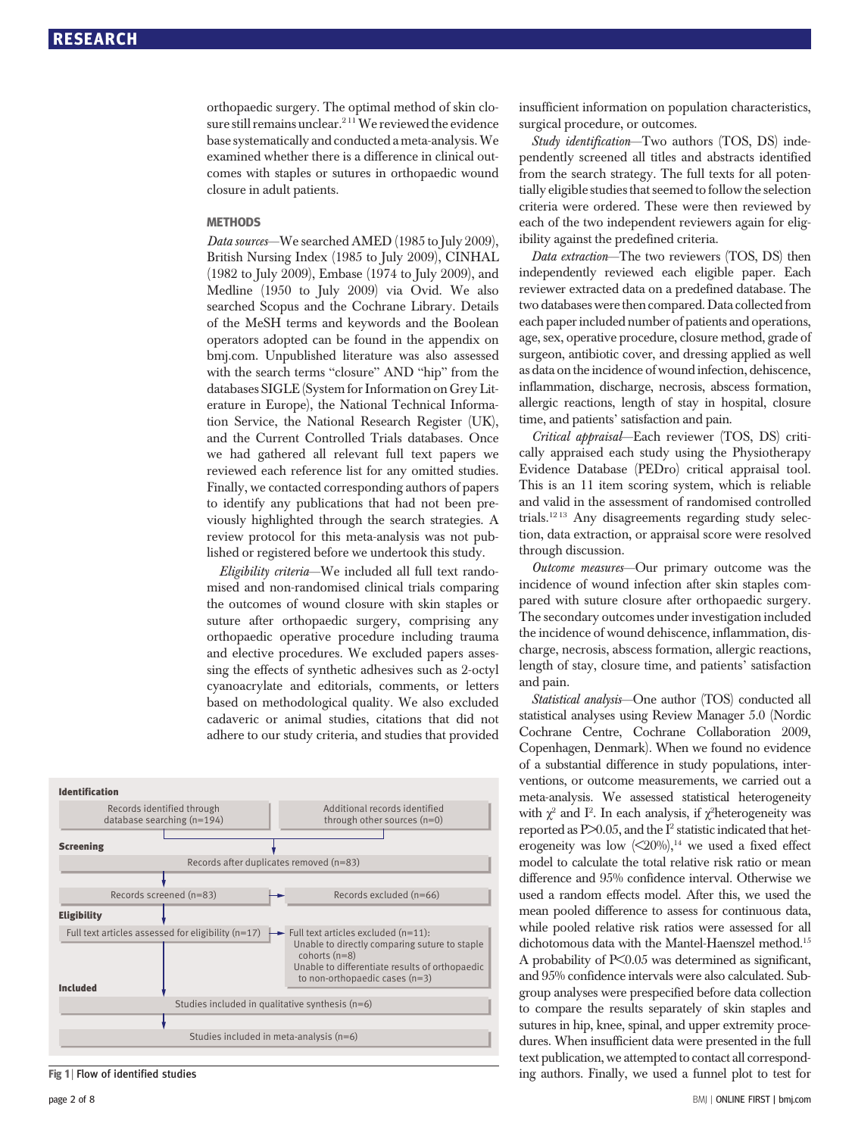orthopaedic surgery. The optimal method of skin closure still remains unclear.<sup>211</sup> We reviewed the evidence base systematically and conducted a meta-analysis.We examined whether there is a difference in clinical outcomes with staples or sutures in orthopaedic wound closure in adult patients.

#### **MFTHODS**

...\_\_\_\_\_\_<br>*Data sources*—We searched AMED (1985 to July 2009), British Nursing Index (1985 to July 2009), CINHAL (1982 to July 2009), Embase (1974 to July 2009), and Medline (1950 to July 2009) via Ovid. We also searched Scopus and the Cochrane Library. Details of the MeSH terms and keywords and the Boolean operators adopted can be found in the appendix on bmj.com. Unpublished literature was also assessed with the search terms "closure" AND "hip" from the databases SIGLE (System for Information on Grey Literature in Europe), the National Technical Information Service, the National Research Register (UK), and the Current Controlled Trials databases. Once we had gathered all relevant full text papers we reviewed each reference list for any omitted studies. Finally, we contacted corresponding authors of papers to identify any publications that had not been previously highlighted through the search strategies. A review protocol for this meta-analysis was not published or registered before we undertook this study.

Eligibility criteria—We included all full text randomised and non-randomised clinical trials comparing the outcomes of wound closure with skin staples or suture after orthopaedic surgery, comprising any orthopaedic operative procedure including trauma and elective procedures. We excluded papers assessing the effects of synthetic adhesives such as 2-octyl cyanoacrylate and editorials, comments, or letters based on methodological quality. We also excluded cadaveric or animal studies, citations that did not adhere to our study criteria, and studies that provided



Fig 1 | Flow of identified studies

insufficient information on population characteristics, surgical procedure, or outcomes.

Study identification-Two authors (TOS, DS) independently screened all titles and abstracts identified from the search strategy. The full texts for all potentially eligible studies that seemed to follow the selection criteria were ordered. These were then reviewed by each of the two independent reviewers again for eligibility against the predefined criteria.

Data extraction—The two reviewers (TOS, DS) then independently reviewed each eligible paper. Each reviewer extracted data on a predefined database. The two databases were then compared. Data collected from each paper included number of patients and operations, age, sex, operative procedure, closure method, grade of surgeon, antibiotic cover, and dressing applied as well as data on the incidence of wound infection, dehiscence, inflammation, discharge, necrosis, abscess formation, allergic reactions, length of stay in hospital, closure time, and patients' satisfaction and pain.

Critical appraisal—Each reviewer (TOS, DS) critically appraised each study using the Physiotherapy Evidence Database (PEDro) critical appraisal tool. This is an 11 item scoring system, which is reliable and valid in the assessment of randomised controlled trials.12 13 Any disagreements regarding study selection, data extraction, or appraisal score were resolved through discussion.

Outcome measures—Our primary outcome was the incidence of wound infection after skin staples compared with suture closure after orthopaedic surgery. The secondary outcomes under investigation included the incidence of wound dehiscence, inflammation, discharge, necrosis, abscess formation, allergic reactions, length of stay, closure time, and patients' satisfaction and pain.

Statistical analysis—One author (TOS) conducted all statistical analyses using Review Manager 5.0 (Nordic Cochrane Centre, Cochrane Collaboration 2009, Copenhagen, Denmark). When we found no evidence of a substantial difference in study populations, interventions, or outcome measurements, we carried out a meta-analysis. We assessed statistical heterogeneity with  $\chi^2$  and I<sup>2</sup>. In each analysis, if  $\chi^2$ heterogeneity was reported as  $P \ge 0.05$ , and the I<sup>2</sup> statistic indicated that heterogeneity was low  $\langle 20\% \rangle$ ,<sup>14</sup> we used a fixed effect model to calculate the total relative risk ratio or mean difference and 95% confidence interval. Otherwise we used a random effects model. After this, we used the mean pooled difference to assess for continuous data, while pooled relative risk ratios were assessed for all dichotomous data with the Mantel-Haenszel method.<sup>15</sup> A probability of P<0.05 was determined as significant, and 95% confidence intervals were also calculated. Subgroup analyses were prespecified before data collection to compare the results separately of skin staples and sutures in hip, knee, spinal, and upper extremity procedures. When insufficient data were presented in the full text publication, we attempted to contact all corresponding authors. Finally, we used a funnel plot to test for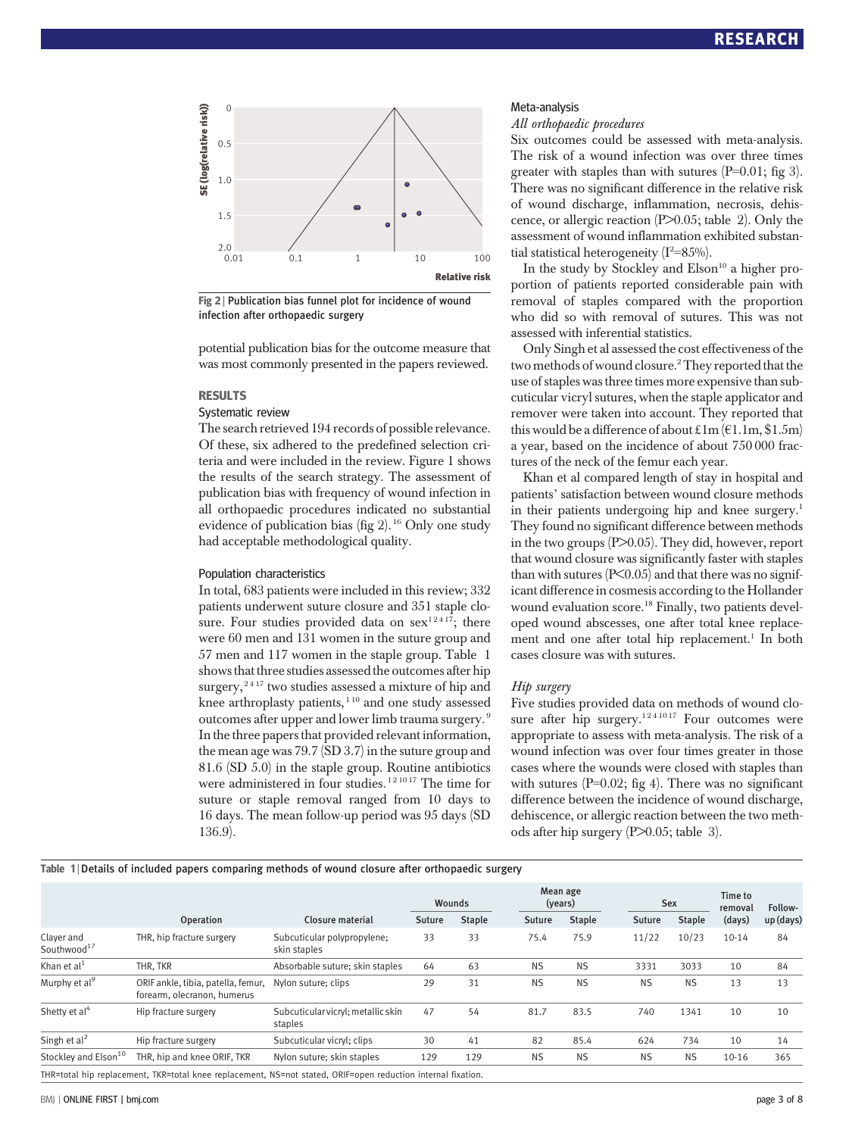

Fig 2 | Publication bias funnel plot for incidence of wound infection after orthopaedic surgery

potential publication bias for the outcome measure that was most commonly presented in the papers reviewed.

#### **RESULTS**

## Systematic review

The search retrieved 194 records of possible relevance. Of these, six adhered to the predefined selection criteria and were included in the review. Figure 1 shows the results of the search strategy. The assessment of publication bias with frequency of wound infection in all orthopaedic procedures indicated no substantial evidence of publication bias (fig  $2$ ). <sup>16</sup> Only one study had acceptable methodological quality.

#### Population characteristics

In total, 683 patients were included in this review; 332 patients underwent suture closure and 351 staple closure. Four studies provided data on  $sex^{12417}$ ; there were 60 men and 131 women in the suture group and 57 men and 117 women in the staple group. Table 1 shows that three studies assessed the outcomes after hip surgery,<sup>2417</sup> two studies assessed a mixture of hip and knee arthroplasty patients,  $110$  and one study assessed outcomes after upper and lower limb trauma surgery. <sup>9</sup> In the three papers that provided relevant information, the mean age was 79.7 (SD 3.7) in the suture group and 81.6 (SD 5.0) in the staple group. Routine antibiotics were administered in four studies.<sup>121017</sup> The time for suture or staple removal ranged from 10 days to 16 days. The mean follow-up period was 95 days (SD 136.9).

#### Meta-analysis

All orthopaedic procedures

Six outcomes could be assessed with meta-analysis. The risk of a wound infection was over three times greater with staples than with sutures  $(P=0.01;$  fig 3). There was no significant difference in the relative risk of wound discharge, inflammation, necrosis, dehiscence, or allergic reaction (P>0.05; table 2). Only the assessment of wound inflammation exhibited substantial statistical heterogeneity  $(I^2=85\%)$ .

In the study by Stockley and  $E$ lson<sup>10</sup> a higher proportion of patients reported considerable pain with removal of staples compared with the proportion who did so with removal of sutures. This was not assessed with inferential statistics.

Only Singh et al assessed the cost effectiveness of the two methods of wound closure.2They reported that the use of staples was three times more expensive than subcuticular vicryl sutures, when the staple applicator and remover were taken into account. They reported that this would be a difference of about £1m ( $E1.1m, $1.5m$ ) a year, based on the incidence of about 750 000 fractures of the neck of the femur each year.

Khan et al compared length of stay in hospital and patients' satisfaction between wound closure methods in their patients undergoing hip and knee surgery.<sup>1</sup> They found no significant difference between methods in the two groups (P>0.05). They did, however, report that wound closure was significantly faster with staples than with sutures  $( P< 0.05)$  and that there was no significant difference in cosmesis according to the Hollander wound evaluation score.<sup>18</sup> Finally, two patients developed wound abscesses, one after total knee replacement and one after total hip replacement.<sup>1</sup> In both cases closure was with sutures.

#### Hip surgery

Five studies provided data on methods of wound closure after hip surgery.<sup>1241017</sup> Four outcomes were appropriate to assess with meta-analysis. The risk of a wound infection was over four times greater in those cases where the wounds were closed with staples than with sutures  $(P=0.02;$  fig 4). There was no significant difference between the incidence of wound discharge, dehiscence, or allergic reaction between the two methods after hip surgery (P $> 0.05$ ; table 3).

#### Table 1 | Details of included papers comparing methods of wound closure after orthopaedic surgery

|                                       |                                                                   |                                                                                                              |        | Wounds        |           | Mean age<br>(years) |  | Sex       |               | Time to<br>removal | Follow-   |
|---------------------------------------|-------------------------------------------------------------------|--------------------------------------------------------------------------------------------------------------|--------|---------------|-----------|---------------------|--|-----------|---------------|--------------------|-----------|
|                                       | <b>Operation</b>                                                  | Closure material                                                                                             | Suture | <b>Staple</b> | Suture    | <b>Staple</b>       |  | Suture    | <b>Staple</b> | (days)             | up (days) |
| Clayer and<br>Southwood <sup>17</sup> | THR, hip fracture surgery                                         | Subcuticular polypropylene;<br>skin staples                                                                  | 33     | 33            | 75.4      | 75.9                |  | 11/22     | 10/23         | $10 - 14$          | 84        |
| Khan et $al1$                         | THR. TKR                                                          | Absorbable suture; skin staples                                                                              | 64     | 63            | <b>NS</b> | <b>NS</b>           |  | 3331      | 3033          | 10                 | 84        |
| Murphy et al <sup>9</sup>             | ORIF ankle, tibia, patella, femur,<br>forearm, olecranon, humerus | Nylon suture; clips                                                                                          | 29     | 31            | <b>NS</b> | <b>NS</b>           |  | <b>NS</b> | <b>NS</b>     | 13                 | 13        |
| Shetty et al <sup>4</sup>             | Hip fracture surgery                                              | Subcuticular vicryl; metallic skin<br>staples                                                                | 47     | 54            | 81.7      | 83.5                |  | 740       | 1341          | 10                 | 10        |
| Singh et $al2$                        | Hip fracture surgery                                              | Subcuticular vicryl; clips                                                                                   | 30     | 41            | 82        | 85.4                |  | 624       | 734           | 10                 | 14        |
| Stockley and Elson <sup>10</sup>      | THR, hip and knee ORIF, TKR                                       | Nylon suture; skin staples                                                                                   | 129    | 129           | <b>NS</b> | <b>NS</b>           |  | <b>NS</b> | <b>NS</b>     | $10 - 16$          | 365       |
|                                       |                                                                   | THR=total hip replacement, TKR=total knee replacement, NS=not stated, ORIF=open reduction internal fixation. |        |               |           |                     |  |           |               |                    |           |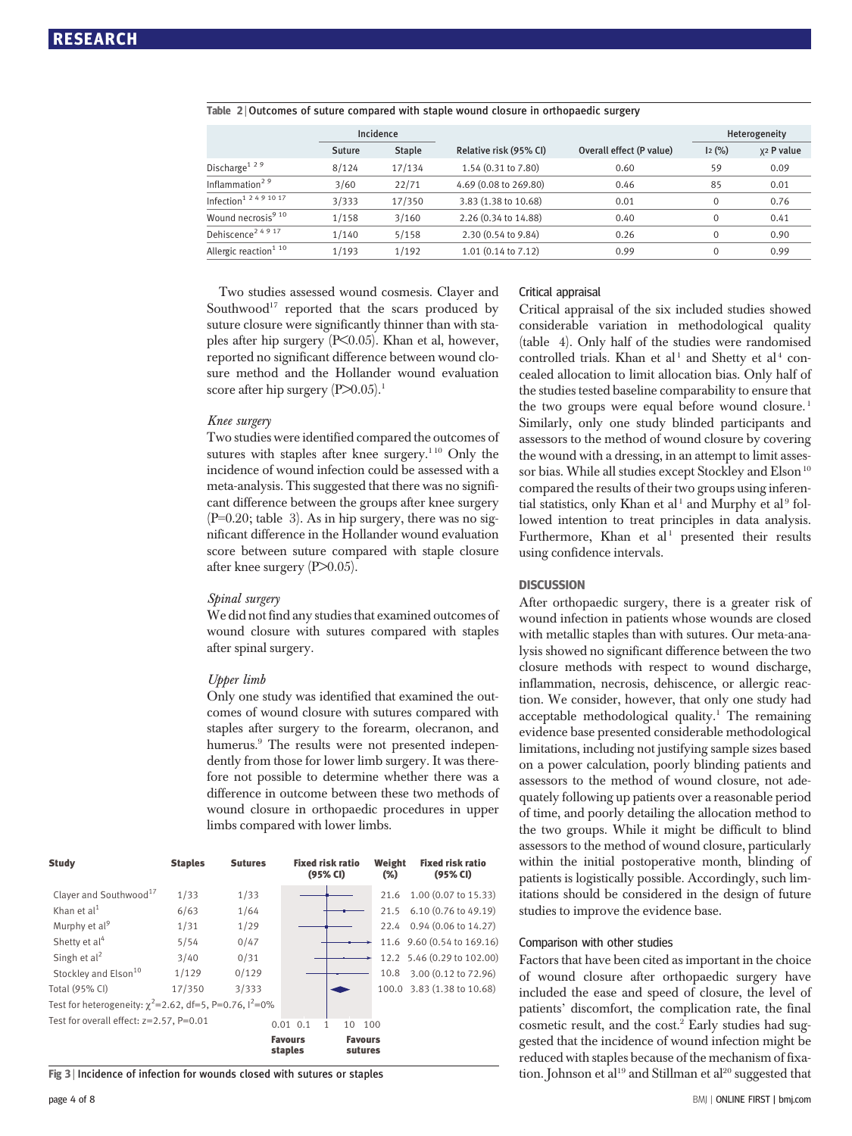|                                    | Incidence |               |                        |                          |          | Heterogeneity          |
|------------------------------------|-----------|---------------|------------------------|--------------------------|----------|------------------------|
|                                    | Suture    | <b>Staple</b> | Relative risk (95% CI) | Overall effect (P value) | 12(%)    | x <sub>2</sub> P value |
| Discharge <sup>129</sup>           | 8/124     | 17/134        | 1.54 (0.31 to 7.80)    | 0.60                     | 59       | 0.09                   |
| Inflammation <sup>29</sup>         | 3/60      | 22/71         | 4.69 (0.08 to 269.80)  | 0.46                     | 85       | 0.01                   |
| Infection <sup>1 2 4 9 10 17</sup> | 3/333     | 17/350        | 3.83 (1.38 to 10.68)   | 0.01                     | $\Omega$ | 0.76                   |
| Wound necrosis <sup>9 10</sup>     | 1/158     | 3/160         | 2.26 (0.34 to 14.88)   | 0.40                     | $\Omega$ | 0.41                   |
| Dehiscence <sup>24917</sup>        | 1/140     | 5/158         | 2.30 (0.54 to 9.84)    | 0.26                     | $\Omega$ | 0.90                   |
| Allergic reaction <sup>1 10</sup>  | 1/193     | 1/192         | 1.01 (0.14 to 7.12)    | 0.99                     | $\Omega$ | 0.99                   |

#### Table 2 | Outcomes of suture compared with staple wound closure in orthopaedic surgery

Two studies assessed wound cosmesis. Clayer and Southwood<sup>17</sup> reported that the scars produced by suture closure were significantly thinner than with staples after hip surgery (P<0.05). Khan et al, however, reported no significant difference between wound closure method and the Hollander wound evaluation score after hip surgery  $(P>0.05)$ .<sup>1</sup>

#### Knee surgery

Two studies were identified compared the outcomes of sutures with staples after knee surgery.<sup>110</sup> Only the incidence of wound infection could be assessed with a meta-analysis. This suggested that there was no significant difference between the groups after knee surgery  $(P=0.20;$  table 3). As in hip surgery, there was no significant difference in the Hollander wound evaluation score between suture compared with staple closure after knee surgery (P>0.05).

#### Spinal surgery

We did not find any studies that examined outcomes of wound closure with sutures compared with staples after spinal surgery.

#### Upper limb

Only one study was identified that examined the outcomes of wound closure with sutures compared with staples after surgery to the forearm, olecranon, and humerus.<sup>9</sup> The results were not presented independently from those for lower limb surgery. It was therefore not possible to determine whether there was a difference in outcome between these two methods of wound closure in orthopaedic procedures in upper limbs compared with lower limbs.

| <b>Study</b>                                                      | <b>Staples</b> | <b>Sutures</b> | <b>Fixed risk ratio</b><br>(95% CI) |                           | Weight<br>$(\%)$ | <b>Fixed risk ratio</b><br>(95% CI) |
|-------------------------------------------------------------------|----------------|----------------|-------------------------------------|---------------------------|------------------|-------------------------------------|
| Clayer and Southwood <sup>17</sup>                                | 1/33           | 1/33           |                                     |                           | 21.6             | 1.00 (0.07 to 15.33)                |
| Khan et al <sup>1</sup>                                           | 6/63           | 1/64           |                                     |                           | 21.5             | 6.10 (0.76 to 49.19)                |
| Murphy et al <sup>9</sup>                                         | 1/31           | 1/29           |                                     |                           |                  | 22.4 0.94 (0.06 to 14.27)           |
| Shetty et al <sup>4</sup>                                         | 5/54           | 0/47           |                                     |                           |                  | 11.6 9.60 (0.54 to 169.16)          |
| Singh et $al2$                                                    | 3/40           | 0/31           |                                     |                           |                  | 12.2 5.46 (0.29 to 102.00)          |
| Stockley and Elson <sup>10</sup>                                  | 1/129          | 0/129          |                                     |                           | 10.8             | 3.00 (0.12 to 72.96)                |
| Total (95% CI)                                                    | 17/350         | 3/333          |                                     |                           |                  | 100.0 3.83 (1.38 to 10.68)          |
| Test for heterogeneity: $\gamma^2$ =2.62, df=5, P=0.76, $1^2$ =0% |                |                |                                     |                           |                  |                                     |
| Test for overall effect: z=2.57, P=0.01                           |                |                | $0.01$ $0.1$<br>1                   | 10                        | 100              |                                     |
|                                                                   |                |                | <b>Favours</b><br>staples           | <b>Favours</b><br>sutures |                  |                                     |

Fig 3 | Incidence of infection for wounds closed with sutures or staples

#### Critical appraisal

Critical appraisal of the six included studies showed considerable variation in methodological quality (table 4). Only half of the studies were randomised controlled trials. Khan et al<sup>1</sup> and Shetty et al<sup>4</sup> concealed allocation to limit allocation bias. Only half of the studies tested baseline comparability to ensure that the two groups were equal before wound closure.<sup>1</sup> Similarly, only one study blinded participants and assessors to the method of wound closure by covering the wound with a dressing, in an attempt to limit assessor bias. While all studies except Stockley and Elson<sup>10</sup> compared the results of their two groups using inferential statistics, only Khan et al<sup>1</sup> and Murphy et al<sup>9</sup> followed intention to treat principles in data analysis. Furthermore, Khan et al<sup>1</sup> presented their results using confidence intervals.

After orthopaedic surgery, there is a greater risk of wound infection in patients whose wounds are closed with metallic staples than with sutures. Our meta-analysis showed no significant difference between the two closure methods with respect to wound discharge, inflammation, necrosis, dehiscence, or allergic reaction. We consider, however, that only one study had acceptable methodological quality.<sup>1</sup> The remaining evidence base presented considerable methodological limitations, including not justifying sample sizes based on a power calculation, poorly blinding patients and assessors to the method of wound closure, not adequately following up patients over a reasonable period of time, and poorly detailing the allocation method to the two groups. While it might be difficult to blind assessors to the method of wound closure, particularly within the initial postoperative month, blinding of patients is logistically possible. Accordingly, such limitations should be considered in the design of future studies to improve the evidence base.

#### Comparison with other studies

Factors that have been cited as important in the choice of wound closure after orthopaedic surgery have included the ease and speed of closure, the level of patients' discomfort, the complication rate, the final cosmetic result, and the cost.<sup>2</sup> Early studies had suggested that the incidence of wound infection might be reduced with staples because of the mechanism of fixation. Johnson et al<sup>19</sup> and Stillman et al<sup>20</sup> suggested that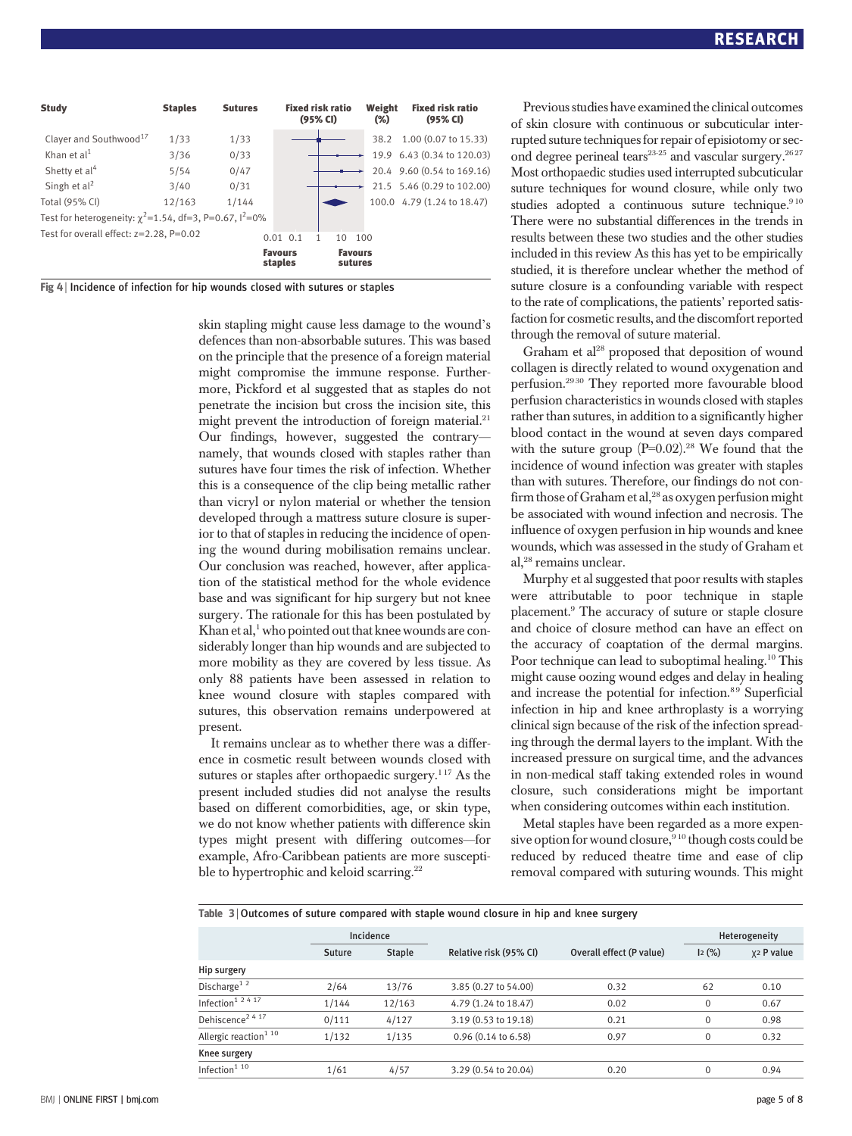| <b>Study</b>                                                                  | <b>Staples</b> | <b>Sutures</b> | <b>Fixed risk ratio</b><br>(95% CI) | Weight<br>$(\%)$          | <b>Fixed risk ratio</b><br>(95% CI) |
|-------------------------------------------------------------------------------|----------------|----------------|-------------------------------------|---------------------------|-------------------------------------|
| Clayer and Southwood <sup>17</sup>                                            | 1/33           | 1/33           |                                     | 38.2                      | 1.00 (0.07 to 15.33)                |
| Khan et $al1$                                                                 | 3/36           | 0/33           |                                     |                           | 19.9 6.43 (0.34 to 120.03)          |
| Shetty et al <sup>4</sup>                                                     | 5/54           | 0/47           |                                     |                           | 20.4 9.60 (0.54 to 169.16)          |
| Singh et $al2$                                                                | 3/40           | 0/31           |                                     |                           | 21.5 5.46 (0.29 to 102.00)          |
| Total (95% CI)                                                                | 12/163         | 1/144          |                                     |                           | 100.0 4.79 (1.24 to 18.47)          |
| Test for heterogeneity: $\gamma^2$ =1.54, df=3, P=0.67, $\frac{1^2}{1^2}$ =0% |                |                |                                     |                           |                                     |
| Test for overall effect: $z=2.28$ , $P=0.02$                                  |                |                | $0.01$ $0.1$<br>10                  | 100                       |                                     |
|                                                                               |                |                | <b>Favours</b><br>staples           | <b>Favours</b><br>sutures |                                     |

| Fig 4   Incidence of infection for hip wounds closed with sutures or staples |  |  |  |  |
|------------------------------------------------------------------------------|--|--|--|--|
|                                                                              |  |  |  |  |

skin stapling might cause less damage to the wound's defences than non-absorbable sutures. This was based on the principle that the presence of a foreign material might compromise the immune response. Furthermore, Pickford et al suggested that as staples do not penetrate the incision but cross the incision site, this might prevent the introduction of foreign material.<sup>21</sup> Our findings, however, suggested the contrary namely, that wounds closed with staples rather than sutures have four times the risk of infection. Whether this is a consequence of the clip being metallic rather than vicryl or nylon material or whether the tension developed through a mattress suture closure is superior to that of staples in reducing the incidence of opening the wound during mobilisation remains unclear. Our conclusion was reached, however, after application of the statistical method for the whole evidence base and was significant for hip surgery but not knee surgery. The rationale for this has been postulated by Khan et al, $^1$  who pointed out that knee wounds are considerably longer than hip wounds and are subjected to more mobility as they are covered by less tissue. As only 88 patients have been assessed in relation to knee wound closure with staples compared with sutures, this observation remains underpowered at present.

It remains unclear as to whether there was a difference in cosmetic result between wounds closed with sutures or staples after orthopaedic surgery.<sup>117</sup> As the present included studies did not analyse the results based on different comorbidities, age, or skin type, we do not know whether patients with difference skin types might present with differing outcomes—for example, Afro-Caribbean patients are more susceptible to hypertrophic and keloid scarring.<sup>22</sup>

Previous studies have examined the clinical outcomes of skin closure with continuous or subcuticular interrupted suture techniques for repair of episiotomy or second degree perineal tears<sup>23-25</sup> and vascular surgery.<sup>2627</sup> Most orthopaedic studies used interrupted subcuticular suture techniques for wound closure, while only two studies adopted a continuous suture technique.<sup>910</sup> There were no substantial differences in the trends in results between these two studies and the other studies included in this review As this has yet to be empirically studied, it is therefore unclear whether the method of suture closure is a confounding variable with respect to the rate of complications, the patients' reported satisfaction for cosmetic results, and the discomfort reported through the removal of suture material.

Graham et al<sup>28</sup> proposed that deposition of wound collagen is directly related to wound oxygenation and perfusion.29 30 They reported more favourable blood perfusion characteristics in wounds closed with staples rather than sutures, in addition to a significantly higher blood contact in the wound at seven days compared with the suture group  $(P=0.02)$ .<sup>28</sup> We found that the incidence of wound infection was greater with staples than with sutures. Therefore, our findings do not confirm those of Graham et al, $^{28}$  as oxygen perfusion might be associated with wound infection and necrosis. The influence of oxygen perfusion in hip wounds and knee wounds, which was assessed in the study of Graham et al,28 remains unclear.

Murphy et al suggested that poor results with staples were attributable to poor technique in staple placement.9 The accuracy of suture or staple closure and choice of closure method can have an effect on the accuracy of coaptation of the dermal margins. Poor technique can lead to suboptimal healing.<sup>10</sup> This might cause oozing wound edges and delay in healing and increase the potential for infection.<sup>89</sup> Superficial infection in hip and knee arthroplasty is a worrying clinical sign because of the risk of the infection spreading through the dermal layers to the implant. With the increased pressure on surgical time, and the advances in non-medical staff taking extended roles in wound closure, such considerations might be important when considering outcomes within each institution.

Metal staples have been regarded as a more expensive option for wound closure,<sup>910</sup> though costs could be reduced by reduced theatre time and ease of clip removal compared with suturing wounds. This might

Table 3 | Outcomes of suture compared with staple wound closure in hip and knee surgery

|                                   |                         | Incidence |                               |                          | Heterogeneity |                        |  |
|-----------------------------------|-------------------------|-----------|-------------------------------|--------------------------|---------------|------------------------|--|
|                                   | <b>Staple</b><br>Suture |           | Relative risk (95% CI)        | Overall effect (P value) | 12(%)         | x <sub>2</sub> P value |  |
| Hip surgery                       |                         |           |                               |                          |               |                        |  |
| Discharge <sup>1 2</sup>          | 2/64                    | 13/76     | 3.85 (0.27 to 54.00)          | 0.32                     | 62            | 0.10                   |  |
| Infection <sup>1 2 4 17</sup>     | 1/144                   | 12/163    | 4.79 (1.24 to 18.47)          | 0.02                     | $\mathbf{0}$  | 0.67                   |  |
| Dehiscence <sup>2417</sup>        | 0/111                   | 4/127     | 3.19 (0.53 to 19.18)          | 0.21                     | $\mathbf{0}$  | 0.98                   |  |
| Allergic reaction <sup>1 10</sup> | 1/132                   | 1/135     | $0.96(0.14 \text{ to } 6.58)$ | 0.97                     | $\mathbf{0}$  | 0.32                   |  |
| Knee surgery                      |                         |           |                               |                          |               |                        |  |
| Infection $110$                   | 1/61                    | 4/57      | 3.29 (0.54 to 20.04)          | 0.20                     | $\Omega$      | 0.94                   |  |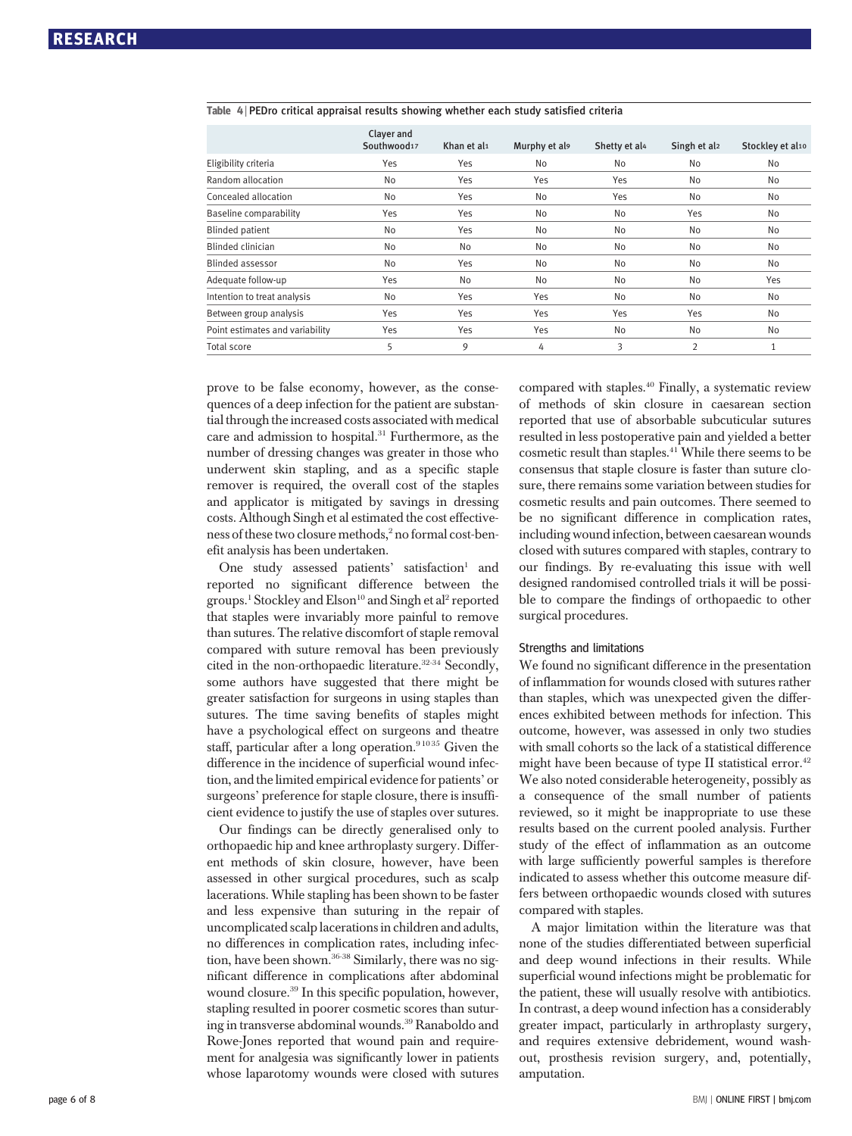|                                 | Clayer and<br>Southwood17 | Khan et al1 | Murphy et als | Shetty et al4 | Singh et al <sub>2</sub> | Stockley et al10 |
|---------------------------------|---------------------------|-------------|---------------|---------------|--------------------------|------------------|
| Eligibility criteria            | Yes                       | Yes         | No            | No            | No                       | No               |
| Random allocation               | No                        | Yes         | Yes           | Yes           | No                       | No               |
| Concealed allocation            | No                        | Yes         | No            | Yes           | No                       | No               |
| Baseline comparability          | Yes                       | Yes         | No            | No            | Yes                      | No               |
| <b>Blinded patient</b>          | No                        | Yes         | No            | No            | No                       | No               |
| <b>Blinded clinician</b>        | No                        | No          | No            | No            | No                       | No               |
| <b>Blinded assessor</b>         | No                        | Yes         | No            | No            | No                       | No               |
| Adequate follow-up              | Yes                       | No          | No            | No            | No                       | Yes              |
| Intention to treat analysis     | No                        | Yes         | Yes           | No            | No                       | No               |
| Between group analysis          | Yes                       | Yes         | Yes           | Yes           | Yes                      | No               |
| Point estimates and variability | Yes                       | Yes         | Yes           | No            | No                       | No               |
| <b>Total score</b>              | 5                         | 9           | 4             | 3             | $\overline{2}$           | 1                |

#### Table 4 <sup>|</sup> PEDro critical appraisal results showing whether each study satisfied criteria

prove to be false economy, however, as the consequences of a deep infection for the patient are substantial through the increased costs associated with medical care and admission to hospital.<sup>31</sup> Furthermore, as the number of dressing changes was greater in those who underwent skin stapling, and as a specific staple remover is required, the overall cost of the staples and applicator is mitigated by savings in dressing costs. Although Singh et al estimated the cost effectiveness of these two closure methods,<sup>2</sup> no formal cost-benefit analysis has been undertaken.

One study assessed patients' satisfaction<sup>1</sup> and reported no significant difference between the groups.<sup>1</sup> Stockley and Elson<sup>10</sup> and Singh et al<sup>2</sup> reported that staples were invariably more painful to remove than sutures. The relative discomfort of staple removal compared with suture removal has been previously cited in the non-orthopaedic literature.<sup>32-34</sup> Secondly, some authors have suggested that there might be greater satisfaction for surgeons in using staples than sutures. The time saving benefits of staples might have a psychological effect on surgeons and theatre staff, particular after a long operation.<sup>91035</sup> Given the difference in the incidence of superficial wound infection, and the limited empirical evidence for patients' or surgeons' preference for staple closure, there is insufficient evidence to justify the use of staples over sutures.

Our findings can be directly generalised only to orthopaedic hip and knee arthroplasty surgery. Different methods of skin closure, however, have been assessed in other surgical procedures, such as scalp lacerations. While stapling has been shown to be faster and less expensive than suturing in the repair of uncomplicated scalp lacerations in children and adults, no differences in complication rates, including infection, have been shown.<sup>36-38</sup> Similarly, there was no significant difference in complications after abdominal wound closure.39 In this specific population, however, stapling resulted in poorer cosmetic scores than suturing in transverse abdominal wounds.<sup>39</sup> Ranaboldo and Rowe-Jones reported that wound pain and requirement for analgesia was significantly lower in patients whose laparotomy wounds were closed with sutures compared with staples.<sup>40</sup> Finally, a systematic review of methods of skin closure in caesarean section reported that use of absorbable subcuticular sutures resulted in less postoperative pain and yielded a better cosmetic result than staples.41 While there seems to be consensus that staple closure is faster than suture closure, there remains some variation between studies for cosmetic results and pain outcomes. There seemed to be no significant difference in complication rates, including wound infection, between caesarean wounds closed with sutures compared with staples, contrary to our findings. By re-evaluating this issue with well designed randomised controlled trials it will be possible to compare the findings of orthopaedic to other surgical procedures.

#### Strengths and limitations

We found no significant difference in the presentation of inflammation for wounds closed with sutures rather than staples, which was unexpected given the differences exhibited between methods for infection. This outcome, however, was assessed in only two studies with small cohorts so the lack of a statistical difference might have been because of type II statistical error.<sup>42</sup> We also noted considerable heterogeneity, possibly as a consequence of the small number of patients reviewed, so it might be inappropriate to use these results based on the current pooled analysis. Further study of the effect of inflammation as an outcome with large sufficiently powerful samples is therefore indicated to assess whether this outcome measure differs between orthopaedic wounds closed with sutures compared with staples.

A major limitation within the literature was that none of the studies differentiated between superficial and deep wound infections in their results. While superficial wound infections might be problematic for the patient, these will usually resolve with antibiotics. In contrast, a deep wound infection has a considerably greater impact, particularly in arthroplasty surgery, and requires extensive debridement, wound washout, prosthesis revision surgery, and, potentially, amputation.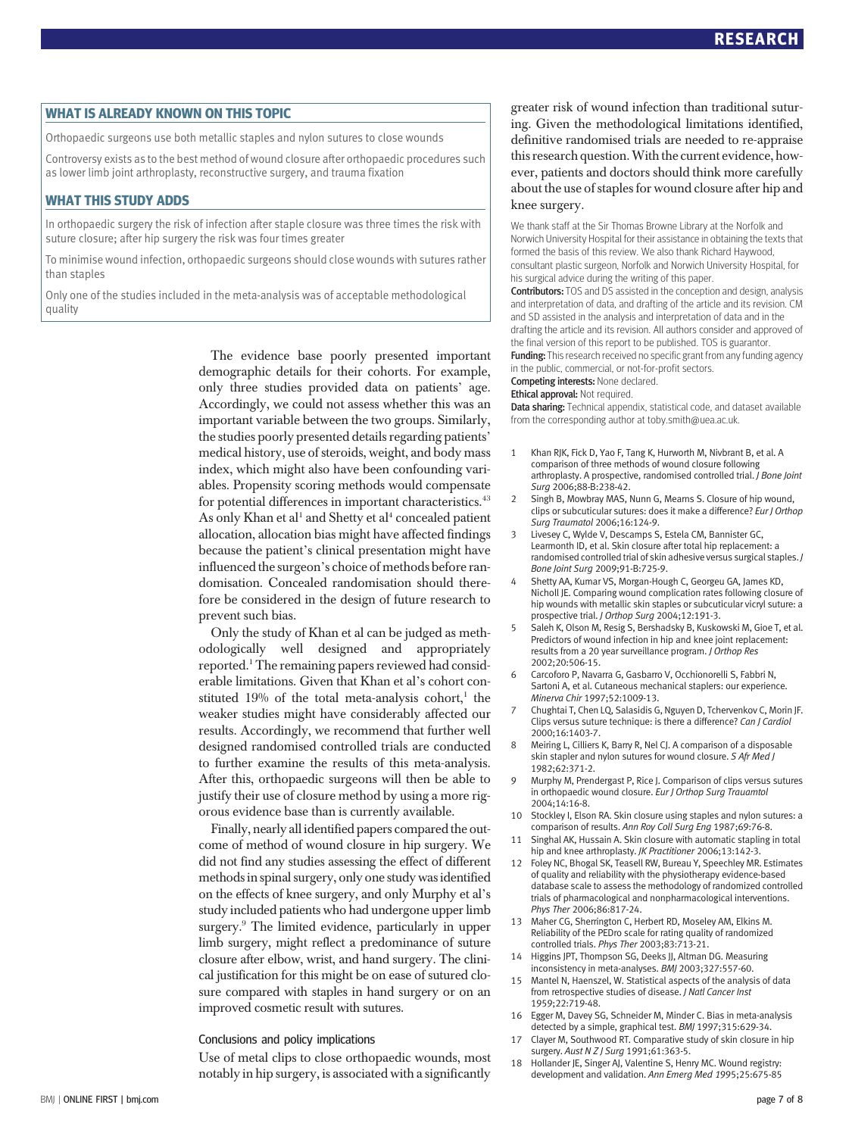WHAT IS ALREADY KNOWN ON THIS TOPIC Orthopaedic surgeons use both metallic staples and nylon sutures to close wounds

Controversy exists as to the best method of wound closure after orthopaedic procedures such as lower limb joint arthroplasty, reconstructive surgery, and trauma fixation

WHAT THIS STUDY ADDS In orthopaedic surgery the risk of infection after staple closure was three times the risk with suture closure; after hip surgery the risk was four times greater

To minimise wound infection, orthopaedic surgeons should close wounds with sutures rather than staples

Only one of the studies included in the meta-analysis was of acceptable methodological quality

> The evidence base poorly presented important demographic details for their cohorts. For example, only three studies provided data on patients' age. Accordingly, we could not assess whether this was an important variable between the two groups. Similarly, the studies poorly presented details regarding patients' medical history, use of steroids, weight, and body mass index, which might also have been confounding variables. Propensity scoring methods would compensate for potential differences in important characteristics.<sup>43</sup> As only Khan et al<sup>1</sup> and Shetty et al<sup>4</sup> concealed patient allocation, allocation bias might have affected findings because the patient's clinical presentation might have influenced the surgeon's choice of methods before randomisation. Concealed randomisation should therefore be considered in the design of future research to prevent such bias.

> Only the study of Khan et al can be judged as methodologically well designed and appropriately reported.1 The remaining papers reviewed had considerable limitations. Given that Khan et al's cohort constituted  $19%$  of the total meta-analysis cohort,<sup>1</sup> the weaker studies might have considerably affected our results. Accordingly, we recommend that further well designed randomised controlled trials are conducted to further examine the results of this meta-analysis. After this, orthopaedic surgeons will then be able to justify their use of closure method by using a more rigorous evidence base than is currently available.

> Finally, nearly all identified papers compared the outcome of method of wound closure in hip surgery. We did not find any studies assessing the effect of different methods in spinal surgery, only one study was identified on the effects of knee surgery, and only Murphy et al's study included patients who had undergone upper limb surgery.<sup>9</sup> The limited evidence, particularly in upper limb surgery, might reflect a predominance of suture closure after elbow, wrist, and hand surgery. The clinical justification for this might be on ease of sutured closure compared with staples in hand surgery or on an improved cosmetic result with sutures.

#### Conclusions and policy implications

Use of metal clips to close orthopaedic wounds, most notably in hip surgery, is associated with a significantly greater risk of wound infection than traditional suturing. Given the methodological limitations identified, definitive randomised trials are needed to re-appraise this research question.With the current evidence, however, patients and doctors should think more carefully about the use of staples for wound closure after hip and knee surgery.

We thank staff at the Sir Thomas Browne Library at the Norfolk and Norwich University Hospital for their assistance in obtaining the texts that formed the basis of this review. We also thank Richard Haywood, consultant plastic surgeon, Norfolk and Norwich University Hospital, for his surgical advice during the writing of this paper.

Contributors: TOS and DS assisted in the conception and design, analysis and interpretation of data, and drafting of the article and its revision. CM and SD assisted in the analysis and interpretation of data and in the drafting the article and its revision. All authors consider and approved of the final version of this report to be published. TOS is guarantor. Funding: This research received no specific grant from any funding agency

in the public, commercial, or not-for-profit sectors. Competing interests: None declared.

#### Ethical approval: Not required.

Data sharing: Technical appendix, statistical code, and dataset available from the corresponding author at toby.smith@uea.ac.uk.

- 1 Khan RJK, Fick D, Yao F, Tang K, Hurworth M, Nivbrant B, et al. A comparison of three methods of wound closure following arthroplasty. A prospective, randomised controlled trial. J Bone Joint Surg 2006;88-B:238-42.
- 2 Singh B, Mowbray MAS, Nunn G, Mearns S. Closure of hip wound, clips or subcuticular sutures: does it make a difference? Eur J Orthop Surg Traumatol 2006;16:124-9.
- Livesey C, Wylde V, Descamps S, Estela CM, Bannister GC, Learmonth ID, et al. Skin closure after total hip replacement: a randomised controlled trial of skin adhesive versus surgical staples. J Bone Joint Surg 2009;91-B:725-9.
- 4 Shetty AA, Kumar VS, Morgan-Hough C, Georgeu GA, James KD, Nicholl JE. Comparing wound complication rates following closure of hip wounds with metallic skin staples or subcuticular vicryl suture: a prospective trial. J Orthop Surg 2004;12:191-3.
- 5 Saleh K, Olson M, Resig S, Bershadsky B, Kuskowski M, Gioe T, et al. Predictors of wound infection in hip and knee joint replacement: results from a 20 year surveillance program. J Orthop Res 2002;20:506-15.
- 6 Carcoforo P, Navarra G, Gasbarro V, Occhionorelli S, Fabbri N, Sartoni A, et al. Cutaneous mechanical staplers: our experience. Minerva Chir 1997;52:1009-13.
- 7 Chughtai T, Chen LQ, Salasidis G, Nguyen D, Tchervenkov C, Morin JF. Clips versus suture technique: is there a difference? Can J Cardiol 2000;16:1403-7.
- Meiring L, Cilliers K, Barry R, Nel CJ. A comparison of a disposable skin stapler and nylon sutures for wound closure. S Afr Med J 1982;62:371-2.
- 9 Murphy M, Prendergast P, Rice J. Comparison of clips versus sutures in orthopaedic wound closure. Eur J Orthop Surg Trauamtol 2004;14:16-8.
- 10 Stockley I, Elson RA. Skin closure using staples and nylon sutures: a comparison of results. Ann Roy Coll Surg Eng 1987;69:76-8.
- Singhal AK, Hussain A. Skin closure with automatic stapling in total hip and knee arthroplasty. JK Practitioner 2006;13:142-3.
- 12 Foley NC, Bhogal SK, Teasell RW, Bureau Y, Speechley MR. Estimates of quality and reliability with the physiotherapy evidence-based database scale to assess the methodology of randomized controlled trials of pharmacological and nonpharmacological interventions. Phys Ther 2006;86:817-24.
- 13 Maher CG, Sherrington C, Herbert RD, Moseley AM, Elkins M. Reliability of the PEDro scale for rating quality of randomized controlled trials. Phys Ther 2003;83:713-21.
- 14 Higgins JPT, Thompson SG, Deeks JJ, Altman DG. Measuring inconsistency in meta-analyses. BMJ 2003;327:557-60.
- Mantel N, Haenszel, W. Statistical aspects of the analysis of data from retrospective studies of disease. J Natl Cancer Inst 1959;22:719-48.
- 16 Egger M, Davey SG, Schneider M, Minder C. Bias in meta-analysis detected by a simple, graphical test. BMJ 1997;315:629-34.
- 17 Clayer M, Southwood RT. Comparative study of skin closure in hip surgery. Aust N Z J Surg 1991;61:363-5.
- 18 Hollander JE, Singer AJ, Valentine S, Henry MC. Wound registry: development and validation. Ann Emerg Med 1995;25:675-85